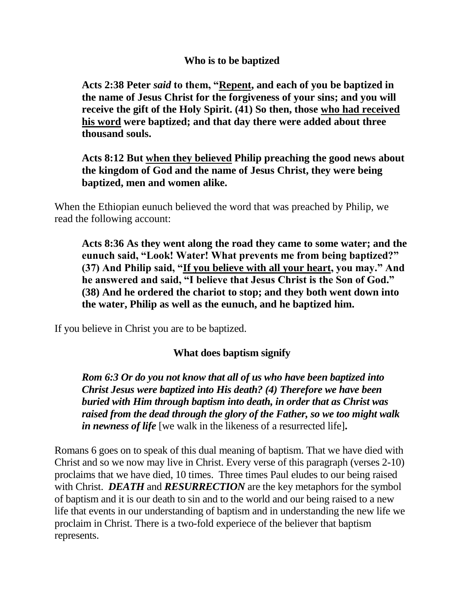## **Who is to be baptized**

**Acts 2:38 Peter** *said* **to them, "Repent, and each of you be baptized in the name of Jesus Christ for the forgiveness of your sins; and you will receive the gift of the Holy Spirit. (41) So then, those who had received his word were baptized; and that day there were added about three thousand souls.**

**Acts 8:12 But when they believed Philip preaching the good news about the kingdom of God and the name of Jesus Christ, they were being baptized, men and women alike.**

When the Ethiopian eunuch believed the word that was preached by Philip, we read the following account:

**Acts 8:36 As they went along the road they came to some water; and the eunuch said, "Look! Water! What prevents me from being baptized?" (37) And Philip said, "If you believe with all your heart, you may." And he answered and said, "I believe that Jesus Christ is the Son of God." (38) And he ordered the chariot to stop; and they both went down into the water, Philip as well as the eunuch, and he baptized him.**

If you believe in Christ you are to be baptized.

## **What does baptism signify**

*Rom 6:3 Or do you not know that all of us who have been baptized into Christ Jesus were baptized into His death? (4) Therefore we have been buried with Him through baptism into death, in order that as Christ was raised from the dead through the glory of the Father, so we too might walk in newness of life* [we walk in the likeness of a resurrected life]**.** 

Romans 6 goes on to speak of this dual meaning of baptism. That we have died with Christ and so we now may live in Christ. Every verse of this paragraph (verses 2-10) proclaims that we have died, 10 times. Three times Paul eludes to our being raised with Christ. *DEATH* and *RESURRECTION* are the key metaphors for the symbol of baptism and it is our death to sin and to the world and our being raised to a new life that events in our understanding of baptism and in understanding the new life we proclaim in Christ. There is a two-fold experiece of the believer that baptism represents.